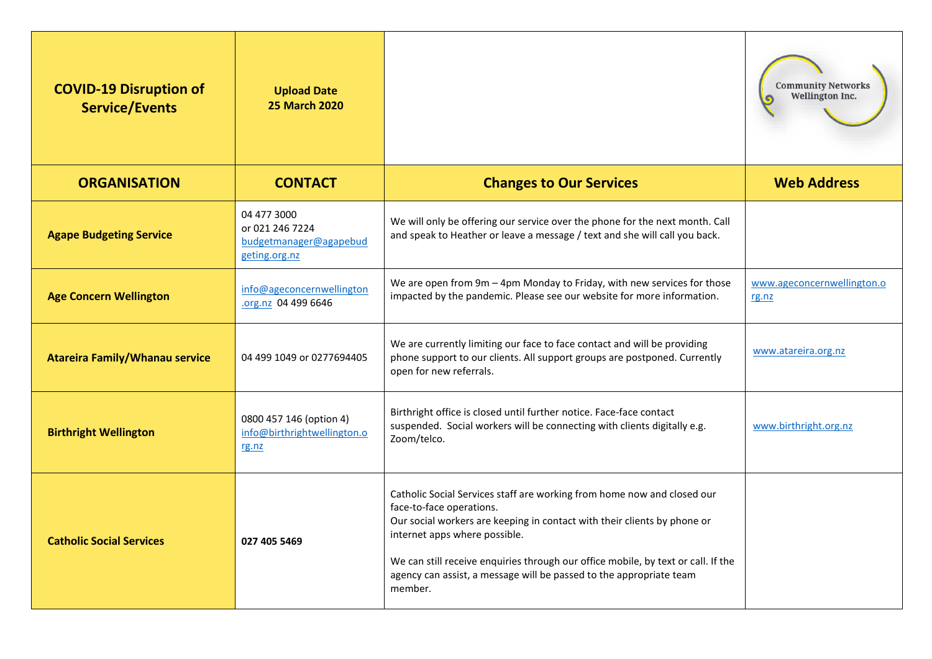| <b>COVID-19 Disruption of</b><br><b>Service/Events</b> | <b>Upload Date</b><br><b>25 March 2020</b>                                |                                                                                                                                                                                                                                                                                                                                                                                         | <b>Community Networks</b><br>Wellington Inc. |
|--------------------------------------------------------|---------------------------------------------------------------------------|-----------------------------------------------------------------------------------------------------------------------------------------------------------------------------------------------------------------------------------------------------------------------------------------------------------------------------------------------------------------------------------------|----------------------------------------------|
| <b>ORGANISATION</b>                                    | <b>CONTACT</b>                                                            | <b>Changes to Our Services</b>                                                                                                                                                                                                                                                                                                                                                          | <b>Web Address</b>                           |
| <b>Agape Budgeting Service</b>                         | 04 477 3000<br>or 021 246 7224<br>budgetmanager@agapebud<br>geting.org.nz | We will only be offering our service over the phone for the next month. Call<br>and speak to Heather or leave a message / text and she will call you back.                                                                                                                                                                                                                              |                                              |
| <b>Age Concern Wellington</b>                          | info@ageconcernwellington<br>.org.nz 04 499 6646                          | We are open from $9m - 4pm$ Monday to Friday, with new services for those<br>impacted by the pandemic. Please see our website for more information.                                                                                                                                                                                                                                     | www.ageconcernwellington.o<br>rg.nz          |
| <b>Atareira Family/Whanau service</b>                  | 04 499 1049 or 0277694405                                                 | We are currently limiting our face to face contact and will be providing<br>phone support to our clients. All support groups are postponed. Currently<br>open for new referrals.                                                                                                                                                                                                        | www.atareira.org.nz                          |
| <b>Birthright Wellington</b>                           | 0800 457 146 (option 4)<br>info@birthrightwellington.o<br>rg.nz           | Birthright office is closed until further notice. Face-face contact<br>suspended. Social workers will be connecting with clients digitally e.g.<br>Zoom/telco.                                                                                                                                                                                                                          | www.birthright.org.nz                        |
| <b>Catholic Social Services</b>                        | 027 405 5469                                                              | Catholic Social Services staff are working from home now and closed our<br>face-to-face operations.<br>Our social workers are keeping in contact with their clients by phone or<br>internet apps where possible.<br>We can still receive enquiries through our office mobile, by text or call. If the<br>agency can assist, a message will be passed to the appropriate team<br>member. |                                              |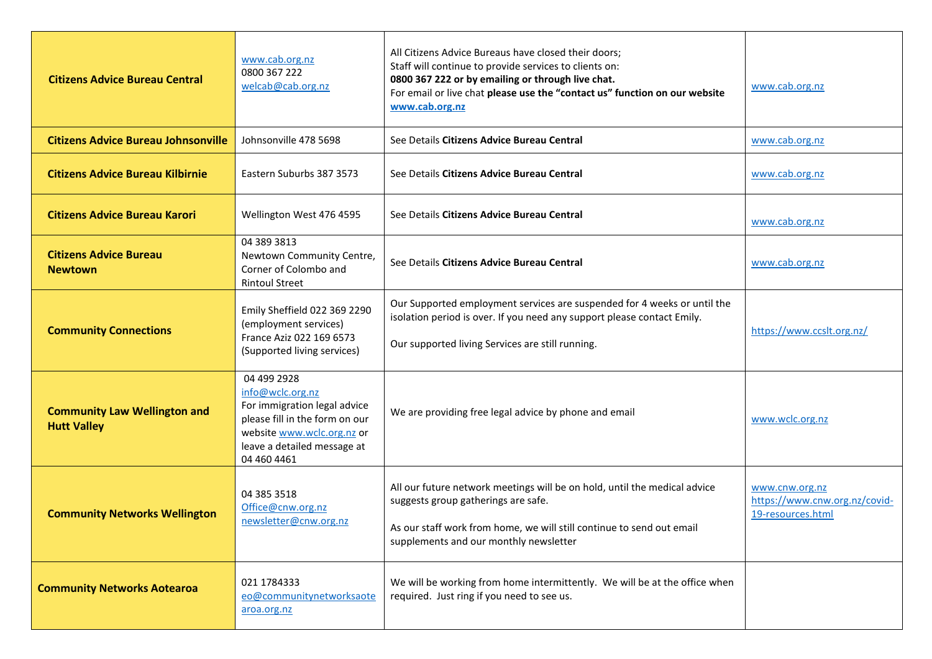| <b>Citizens Advice Bureau Central</b>                     | www.cab.org.nz<br>0800 367 222<br>welcab@cab.org.nz                                                                                                                           | All Citizens Advice Bureaus have closed their doors;<br>Staff will continue to provide services to clients on:<br>0800 367 222 or by emailing or through live chat.<br>For email or live chat please use the "contact us" function on our website<br>www.cab.org.nz | www.cab.org.nz                                                       |
|-----------------------------------------------------------|-------------------------------------------------------------------------------------------------------------------------------------------------------------------------------|---------------------------------------------------------------------------------------------------------------------------------------------------------------------------------------------------------------------------------------------------------------------|----------------------------------------------------------------------|
| <b>Citizens Advice Bureau Johnsonville</b>                | Johnsonville 478 5698                                                                                                                                                         | See Details Citizens Advice Bureau Central                                                                                                                                                                                                                          | www.cab.org.nz                                                       |
| <b>Citizens Advice Bureau Kilbirnie</b>                   | Eastern Suburbs 387 3573                                                                                                                                                      | See Details Citizens Advice Bureau Central                                                                                                                                                                                                                          | www.cab.org.nz                                                       |
| <b>Citizens Advice Bureau Karori</b>                      | Wellington West 476 4595                                                                                                                                                      | See Details Citizens Advice Bureau Central                                                                                                                                                                                                                          | www.cab.org.nz                                                       |
| <b>Citizens Advice Bureau</b><br><b>Newtown</b>           | 04 389 3813<br>Newtown Community Centre,<br>Corner of Colombo and<br><b>Rintoul Street</b>                                                                                    | See Details Citizens Advice Bureau Central                                                                                                                                                                                                                          | www.cab.org.nz                                                       |
| <b>Community Connections</b>                              | Emily Sheffield 022 369 2290<br>(employment services)<br>France Aziz 022 169 6573<br>(Supported living services)                                                              | Our Supported employment services are suspended for 4 weeks or until the<br>isolation period is over. If you need any support please contact Emily.<br>Our supported living Services are still running.                                                             | https://www.ccslt.org.nz/                                            |
| <b>Community Law Wellington and</b><br><b>Hutt Valley</b> | 04 499 2928<br>info@wclc.org.nz<br>For immigration legal advice<br>please fill in the form on our<br>website www.wclc.org.nz or<br>leave a detailed message at<br>04 460 4461 | We are providing free legal advice by phone and email                                                                                                                                                                                                               | www.wclc.org.nz                                                      |
| <b>Community Networks Wellington</b>                      | 04 385 3518<br>Office@cnw.org.nz<br>newsletter@cnw.org.nz                                                                                                                     | All our future network meetings will be on hold, until the medical advice<br>suggests group gatherings are safe.<br>As our staff work from home, we will still continue to send out email<br>supplements and our monthly newsletter                                 | www.cnw.org.nz<br>https://www.cnw.org.nz/covid-<br>19-resources.html |
| <b>Community Networks Aotearoa</b>                        | 021 1784333<br>eo@communitynetworksaote<br>aroa.org.nz                                                                                                                        | We will be working from home intermittently. We will be at the office when<br>required. Just ring if you need to see us.                                                                                                                                            |                                                                      |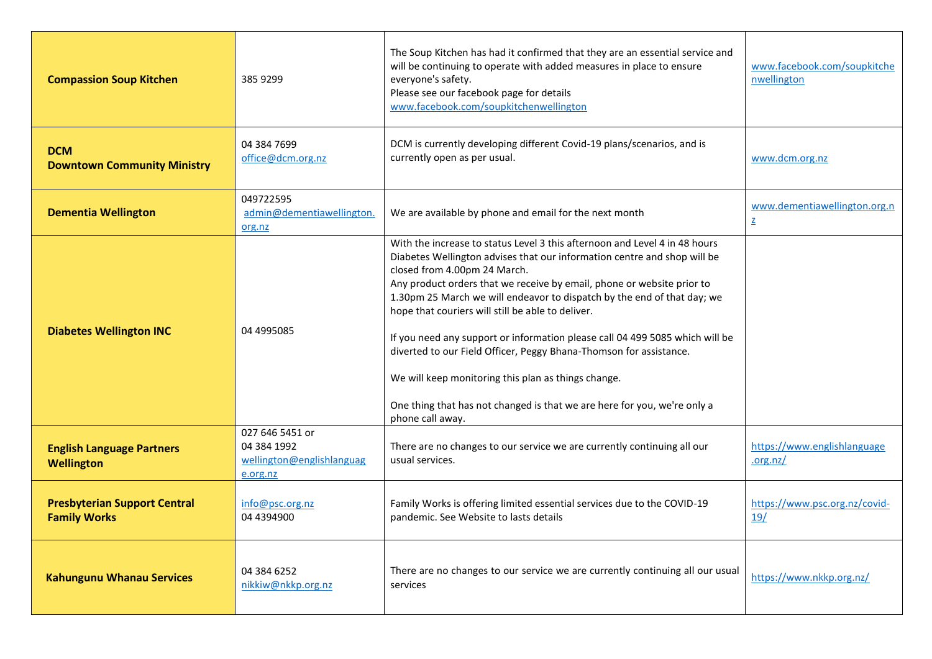| <b>Compassion Soup Kitchen</b>                             | 385 9299                                                                | The Soup Kitchen has had it confirmed that they are an essential service and<br>will be continuing to operate with added measures in place to ensure<br>everyone's safety.<br>Please see our facebook page for details<br>www.facebook.com/soupkitchenwellington                                                                                                                                                                                                                                                                                                                                                                                                                                              | www.facebook.com/soupkitche<br>nwellington               |
|------------------------------------------------------------|-------------------------------------------------------------------------|---------------------------------------------------------------------------------------------------------------------------------------------------------------------------------------------------------------------------------------------------------------------------------------------------------------------------------------------------------------------------------------------------------------------------------------------------------------------------------------------------------------------------------------------------------------------------------------------------------------------------------------------------------------------------------------------------------------|----------------------------------------------------------|
| <b>DCM</b><br><b>Downtown Community Ministry</b>           | 04 384 7699<br>office@dcm.org.nz                                        | DCM is currently developing different Covid-19 plans/scenarios, and is<br>currently open as per usual.                                                                                                                                                                                                                                                                                                                                                                                                                                                                                                                                                                                                        | www.dcm.org.nz                                           |
| <b>Dementia Wellington</b>                                 | 049722595<br>admin@dementiawellington.<br>org.nz                        | We are available by phone and email for the next month                                                                                                                                                                                                                                                                                                                                                                                                                                                                                                                                                                                                                                                        | www.dementiawellington.org.n<br>$\underline{\mathsf{Z}}$ |
| <b>Diabetes Wellington INC</b>                             | 04 4995085                                                              | With the increase to status Level 3 this afternoon and Level 4 in 48 hours<br>Diabetes Wellington advises that our information centre and shop will be<br>closed from 4.00pm 24 March.<br>Any product orders that we receive by email, phone or website prior to<br>1.30pm 25 March we will endeavor to dispatch by the end of that day; we<br>hope that couriers will still be able to deliver.<br>If you need any support or information please call 04 499 5085 which will be<br>diverted to our Field Officer, Peggy Bhana-Thomson for assistance.<br>We will keep monitoring this plan as things change.<br>One thing that has not changed is that we are here for you, we're only a<br>phone call away. |                                                          |
| <b>English Language Partners</b><br><b>Wellington</b>      | 027 646 5451 or<br>04 384 1992<br>wellington@englishlanguag<br>e.org.nz | There are no changes to our service we are currently continuing all our<br>usual services.                                                                                                                                                                                                                                                                                                                                                                                                                                                                                                                                                                                                                    | https://www.englishlanguage<br>.org.nz/                  |
| <b>Presbyterian Support Central</b><br><b>Family Works</b> | info@psc.org.nz<br>04 4394900                                           | Family Works is offering limited essential services due to the COVID-19<br>pandemic. See Website to lasts details                                                                                                                                                                                                                                                                                                                                                                                                                                                                                                                                                                                             | https://www.psc.org.nz/covid-<br>19/                     |
| <b>Kahungunu Whanau Services</b>                           | 04 384 6252<br>nikkiw@nkkp.org.nz                                       | There are no changes to our service we are currently continuing all our usual<br>services                                                                                                                                                                                                                                                                                                                                                                                                                                                                                                                                                                                                                     | https://www.nkkp.org.nz/                                 |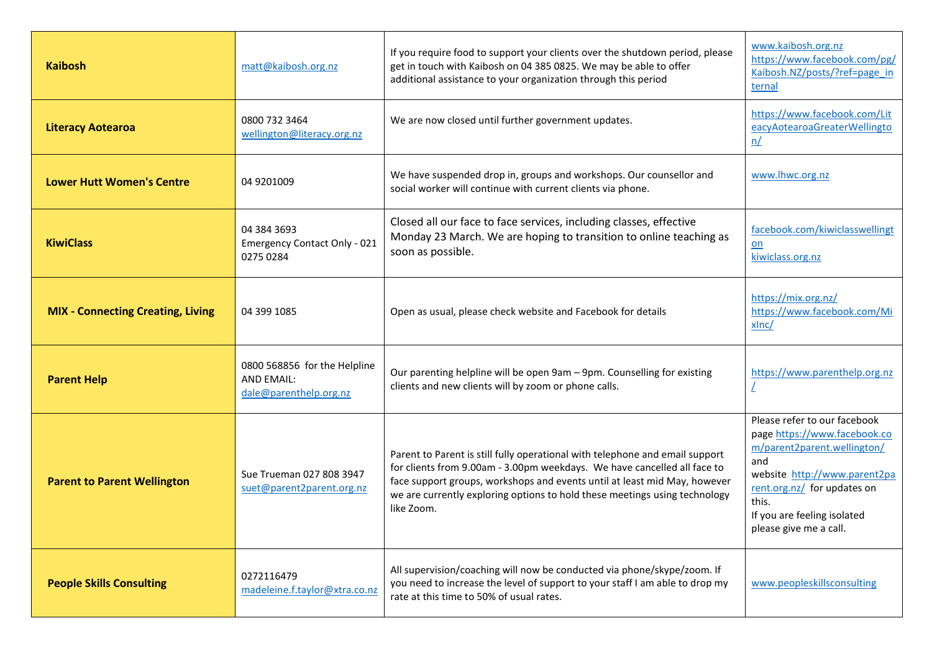| <b>Kaibosh</b>                           | matt@kaibosh.org.nz                                                         | If you require food to support your clients over the shutdown period, please<br>get in touch with Kaibosh on 04 385 0825. We may be able to offer<br>additional assistance to your organization through this period                                                                                                               | www.kaibosh.org.nz<br>https://www.facebook.com/pg/<br>Kaibosh.NZ/posts/?ref=page_in<br>ternal                                                                                                                                       |
|------------------------------------------|-----------------------------------------------------------------------------|-----------------------------------------------------------------------------------------------------------------------------------------------------------------------------------------------------------------------------------------------------------------------------------------------------------------------------------|-------------------------------------------------------------------------------------------------------------------------------------------------------------------------------------------------------------------------------------|
| <b>Literacy Aotearoa</b>                 | 0800 732 3464<br>wellington@literacy.org.nz                                 | We are now closed until further government updates.                                                                                                                                                                                                                                                                               | https://www.facebook.com/Lit<br>eacyAotearoaGreaterWellingto<br>n/                                                                                                                                                                  |
| <b>Lower Hutt Women's Centre</b>         | 04 9201009                                                                  | We have suspended drop in, groups and workshops. Our counsellor and<br>social worker will continue with current clients via phone.                                                                                                                                                                                                | www.lhwc.org.nz                                                                                                                                                                                                                     |
| <b>KiwiClass</b>                         | 04 384 3693<br><b>Emergency Contact Only - 021</b><br>0275 0284             | Closed all our face to face services, including classes, effective<br>Monday 23 March. We are hoping to transition to online teaching as<br>soon as possible.                                                                                                                                                                     | facebook.com/kiwiclasswellingt<br>$on$<br>kiwiclass.org.nz                                                                                                                                                                          |
| <b>MIX - Connecting Creating, Living</b> | 04 399 1085                                                                 | Open as usual, please check website and Facebook for details                                                                                                                                                                                                                                                                      | https://mix.org.nz/<br>https://www.facebook.com/Mi<br>xlnc/                                                                                                                                                                         |
| <b>Parent Help</b>                       | 0800 568856 for the Helpline<br><b>AND EMAIL:</b><br>dale@parenthelp.org.nz | Our parenting helpline will be open 9am - 9pm. Counselling for existing<br>clients and new clients will by zoom or phone calls.                                                                                                                                                                                                   | https://www.parenthelp.org.nz<br>L                                                                                                                                                                                                  |
| <b>Parent to Parent Wellington</b>       | Sue Trueman 027 808 3947<br>suet@parent2parent.org.nz                       | Parent to Parent is still fully operational with telephone and email support<br>for clients from 9.00am - 3.00pm weekdays. We have cancelled all face to<br>face support groups, workshops and events until at least mid May, however<br>we are currently exploring options to hold these meetings using technology<br>like Zoom. | Please refer to our facebook<br>page https://www.facebook.co<br>m/parent2parent.wellington/<br>and<br>website http://www.parent2pa<br>rent.org.nz/ for updates on<br>this.<br>If you are feeling isolated<br>please give me a call. |
| <b>People Skills Consulting</b>          | 0272116479<br>madeleine.f.taylor@xtra.co.nz                                 | All supervision/coaching will now be conducted via phone/skype/zoom. If<br>you need to increase the level of support to your staff I am able to drop my<br>rate at this time to 50% of usual rates.                                                                                                                               | www.peopleskillsconsulting                                                                                                                                                                                                          |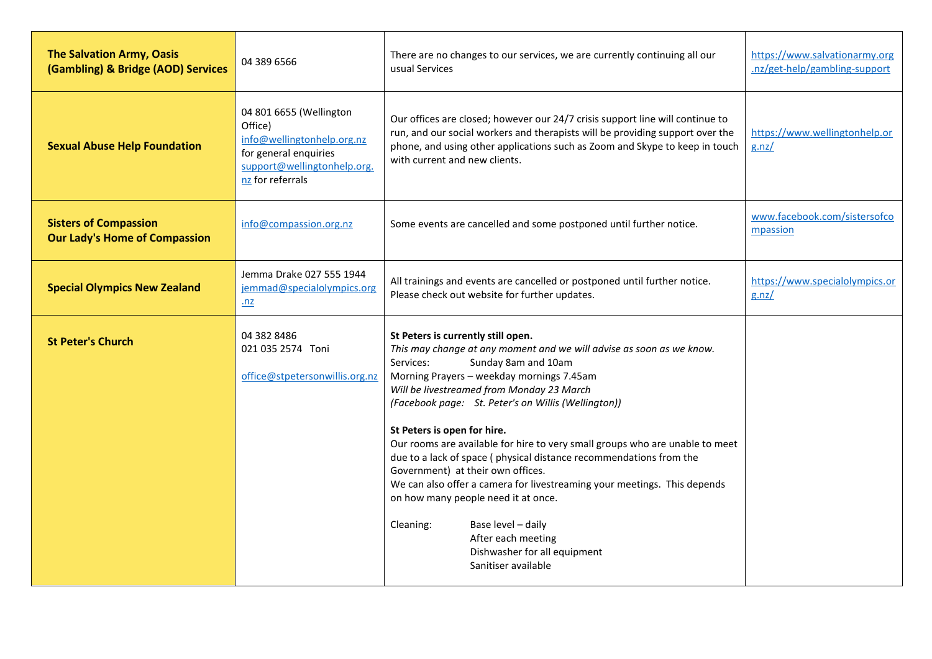| <b>The Salvation Army, Oasis</b><br>(Gambling) & Bridge (AOD) Services | 04 389 6566                                                                                                                                  | There are no changes to our services, we are currently continuing all our<br>usual Services                                                                                                                                                                                                                                                                                                                                                                                                                                                                                                                                                                                                                                                                  | https://www.salvationarmy.org<br>.nz/get-help/gambling-support |
|------------------------------------------------------------------------|----------------------------------------------------------------------------------------------------------------------------------------------|--------------------------------------------------------------------------------------------------------------------------------------------------------------------------------------------------------------------------------------------------------------------------------------------------------------------------------------------------------------------------------------------------------------------------------------------------------------------------------------------------------------------------------------------------------------------------------------------------------------------------------------------------------------------------------------------------------------------------------------------------------------|----------------------------------------------------------------|
| <b>Sexual Abuse Help Foundation</b>                                    | 04 801 6655 (Wellington<br>Office)<br>info@wellingtonhelp.org.nz<br>for general enquiries<br>support@wellingtonhelp.org.<br>nz for referrals | Our offices are closed; however our 24/7 crisis support line will continue to<br>run, and our social workers and therapists will be providing support over the<br>phone, and using other applications such as Zoom and Skype to keep in touch<br>with current and new clients.                                                                                                                                                                                                                                                                                                                                                                                                                                                                               | https://www.wellingtonhelp.or<br>g.nz/                         |
| <b>Sisters of Compassion</b><br><b>Our Lady's Home of Compassion</b>   | info@compassion.org.nz                                                                                                                       | Some events are cancelled and some postponed until further notice.                                                                                                                                                                                                                                                                                                                                                                                                                                                                                                                                                                                                                                                                                           | www.facebook.com/sistersofco<br>mpassion                       |
| <b>Special Olympics New Zealand</b>                                    | Jemma Drake 027 555 1944<br>jemmad@specialolympics.org<br>.nz                                                                                | All trainings and events are cancelled or postponed until further notice.<br>Please check out website for further updates.                                                                                                                                                                                                                                                                                                                                                                                                                                                                                                                                                                                                                                   | https://www.specialolympics.or<br>g.nz/                        |
| <b>St Peter's Church</b>                                               | 04 382 8486<br>021 035 2574 Toni<br>office@stpetersonwillis.org.nz                                                                           | St Peters is currently still open.<br>This may change at any moment and we will advise as soon as we know.<br>Services:<br>Sunday 8am and 10am<br>Morning Prayers - weekday mornings 7.45am<br>Will be livestreamed from Monday 23 March<br>(Facebook page: St. Peter's on Willis (Wellington))<br>St Peters is open for hire.<br>Our rooms are available for hire to very small groups who are unable to meet<br>due to a lack of space (physical distance recommendations from the<br>Government) at their own offices.<br>We can also offer a camera for livestreaming your meetings. This depends<br>on how many people need it at once.<br>Cleaning:<br>Base level - daily<br>After each meeting<br>Dishwasher for all equipment<br>Sanitiser available |                                                                |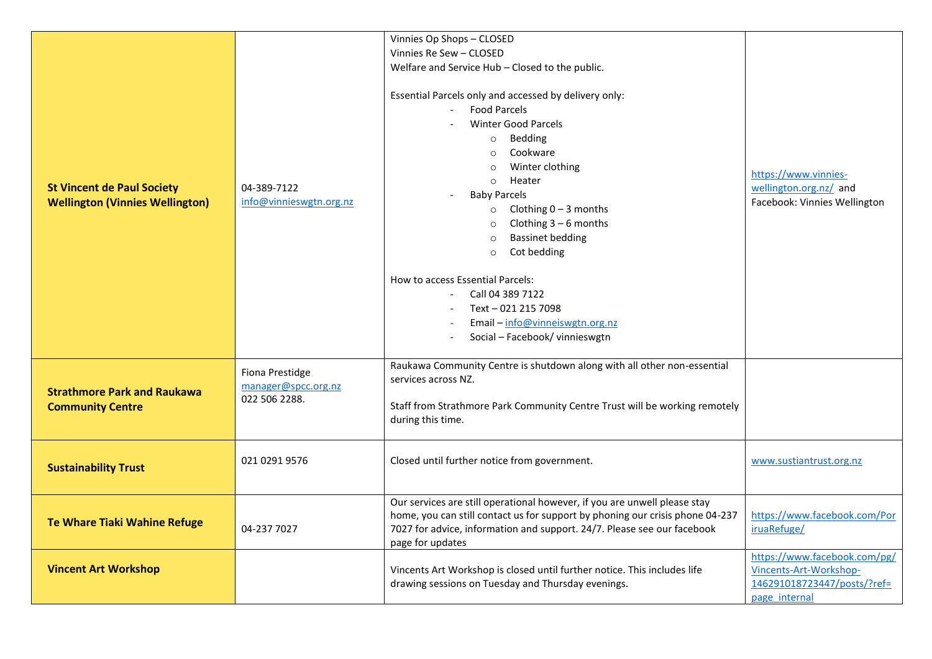|                                                                             |                                                         | Vinnies Op Shops - CLOSED                                                                                                                                                                                                                                                                                                                                                                                                                                                                                   |                                                                                                        |
|-----------------------------------------------------------------------------|---------------------------------------------------------|-------------------------------------------------------------------------------------------------------------------------------------------------------------------------------------------------------------------------------------------------------------------------------------------------------------------------------------------------------------------------------------------------------------------------------------------------------------------------------------------------------------|--------------------------------------------------------------------------------------------------------|
|                                                                             |                                                         | Vinnies Re Sew - CLOSED                                                                                                                                                                                                                                                                                                                                                                                                                                                                                     | https://www.vinnies-<br>wellington.org.nz/ and<br>Facebook: Vinnies Wellington                         |
|                                                                             |                                                         | Welfare and Service Hub - Closed to the public.                                                                                                                                                                                                                                                                                                                                                                                                                                                             |                                                                                                        |
| <b>St Vincent de Paul Society</b><br><b>Wellington (Vinnies Wellington)</b> | 04-389-7122<br>info@vinnieswgtn.org.nz                  | Essential Parcels only and accessed by delivery only:<br><b>Food Parcels</b><br><b>Winter Good Parcels</b><br>o Bedding<br>Cookware<br>$\circ$<br>Winter clothing<br>$\circ$<br>Heater<br>$\circ$<br><b>Baby Parcels</b><br>Clothing $0 - 3$ months<br>$\circ$<br>Clothing $3-6$ months<br><b>Bassinet bedding</b><br>$\circ$<br>Cot bedding<br>$\circ$<br>How to access Essential Parcels:<br>Call 04 389 7122<br>Text - 021 215 7098<br>Email - info@vinneiswgtn.org.nz<br>Social - Facebook/ vinnieswgtn |                                                                                                        |
| <b>Strathmore Park and Raukawa</b><br><b>Community Centre</b>               | Fiona Prestidge<br>manager@spcc.org.nz<br>022 506 2288. | Raukawa Community Centre is shutdown along with all other non-essential<br>services across NZ.<br>Staff from Strathmore Park Community Centre Trust will be working remotely<br>during this time.                                                                                                                                                                                                                                                                                                           |                                                                                                        |
|                                                                             |                                                         |                                                                                                                                                                                                                                                                                                                                                                                                                                                                                                             |                                                                                                        |
| <b>Sustainability Trust</b>                                                 | 021 0291 9576                                           | Closed until further notice from government.                                                                                                                                                                                                                                                                                                                                                                                                                                                                | www.sustiantrust.org.nz                                                                                |
| Te Whare Tiaki Wahine Refuge                                                | 04-237 7027                                             | Our services are still operational however, if you are unwell please stay<br>home, you can still contact us for support by phoning our crisis phone 04-237<br>7027 for advice, information and support. 24/7. Please see our facebook<br>page for updates                                                                                                                                                                                                                                                   | https://www.facebook.com/Por<br>iruaRefuge/                                                            |
| <b>Vincent Art Workshop</b>                                                 |                                                         | Vincents Art Workshop is closed until further notice. This includes life<br>drawing sessions on Tuesday and Thursday evenings.                                                                                                                                                                                                                                                                                                                                                                              | https://www.facebook.com/pg/<br>Vincents-Art-Workshop-<br>146291018723447/posts/?ref=<br>page internal |
|                                                                             |                                                         |                                                                                                                                                                                                                                                                                                                                                                                                                                                                                                             |                                                                                                        |